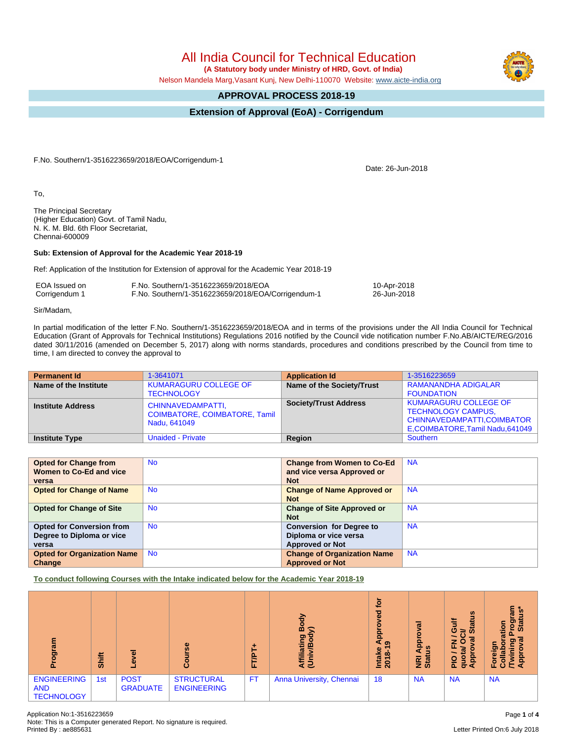All India Council for Technical Education

 **(A Statutory body under Ministry of HRD, Govt. of India)**

Nelson Mandela Marg,Vasant Kunj, New Delhi-110070 Website: [www.aicte-india.org](http://www.aicte-india.org)

## **APPROVAL PROCESS 2018-19**

## **Extension of Approval (EoA) - Corrigendum**

F.No. Southern/1-3516223659/2018/EOA/Corrigendum-1

To,

The Principal Secretary (Higher Education) Govt. of Tamil Nadu, N. K. M. Bld. 6th Floor Secretariat, Chennai-600009

## **Sub: Extension of Approval for the Academic Year 2018-19**

Ref: Application of the Institution for Extension of approval for the Academic Year 2018-19

| EOA Issued on | F.No. Southern/1-3516223659/2018/EOA               | 10-Apr-2018 |
|---------------|----------------------------------------------------|-------------|
| Corrigendum 1 | F.No. Southern/1-3516223659/2018/EOA/Corrigendum-1 | 26-Jun-2018 |

Sir/Madam,

In partial modification of the letter F.No. Southern/1-3516223659/2018/EOA and in terms of the provisions under the All India Council for Technical Education (Grant of Approvals for Technical Institutions) Regulations 2016 notified by the Council vide notification number F.No.AB/AICTE/REG/2016 dated 30/11/2016 (amended on December 5, 2017) along with norms standards, procedures and conditions prescribed by the Council from time to time, I am directed to convey the approval to

| <b>Permanent Id</b>      | 1-3641071                                                                 | <b>Application Id</b>        | 1-3516223659                                                                                                                  |
|--------------------------|---------------------------------------------------------------------------|------------------------------|-------------------------------------------------------------------------------------------------------------------------------|
| Name of the Institute    | <b>KUMARAGURU COLLEGE OF</b><br><b>TECHNOLOGY</b>                         | Name of the Society/Trust    | RAMANANDHA ADIGALAR<br><b>FOUNDATION</b>                                                                                      |
| <b>Institute Address</b> | CHINNAVEDAMPATTI,<br><b>COIMBATORE, COIMBATORE, Tamil</b><br>Nadu, 641049 | <b>Society/Trust Address</b> | <b>KUMARAGURU COLLEGE OF</b><br><b>TECHNOLOGY CAMPUS,</b><br>CHINNAVEDAMPATTI, COIMBATOR<br>E, COIMBATORE, Tamil Nadu, 641049 |
| <b>Institute Type</b>    | <b>Unaided - Private</b>                                                  | Region                       | Southern                                                                                                                      |

| <b>Opted for Change from</b>       | <b>No</b> | <b>Change from Women to Co-Ed</b>  | <b>NA</b> |
|------------------------------------|-----------|------------------------------------|-----------|
| Women to Co-Ed and vice            |           | and vice versa Approved or         |           |
| versa                              |           | <b>Not</b>                         |           |
| <b>Opted for Change of Name</b>    | <b>No</b> | <b>Change of Name Approved or</b>  | <b>NA</b> |
|                                    |           | <b>Not</b>                         |           |
| <b>Opted for Change of Site</b>    | <b>No</b> | <b>Change of Site Approved or</b>  | <b>NA</b> |
|                                    |           | <b>Not</b>                         |           |
| <b>Opted for Conversion from</b>   | <b>No</b> | <b>Conversion for Degree to</b>    | <b>NA</b> |
| Degree to Diploma or vice          |           | Diploma or vice versa              |           |
| versa                              |           | <b>Approved or Not</b>             |           |
| <b>Opted for Organization Name</b> | <b>No</b> | <b>Change of Organization Name</b> | <b>NA</b> |
| Change                             |           | <b>Approved or Not</b>             |           |

**To conduct following Courses with the Intake indicated below for the Academic Year 2018-19**

| m<br>ioa<br>ō                                         | <b>Shift</b>    |                                | $\omega$<br>$\omega$                    | ٠<br>Ē<br>L. | ðo<br>⋒<br>ς<br>Affiliating<br>(Univ/Bod <sup>.</sup> | <u>iot</u><br>ಠ<br>$rac{6}{4a}$<br>Intake<br>2018-1 | $\overline{\mathfrak{a}}$<br>ē<br>ី ខ<br><b>NRI</b><br>Stat | $\boldsymbol{\omega}$<br>₹<br>ਨੌ<br>ō<br>⇒<br>ഗ<br>ಸ<br>z<br>ய<br>jda<br>$\frac{1}{2}$<br>g<br>ਠ<br>Œ | ួរ ក្ល<br>စ္မွ<br>stal<br>ation<br>ຫ<br>$\overline{P}$<br>å<br>ි<br>н |
|-------------------------------------------------------|-----------------|--------------------------------|-----------------------------------------|--------------|-------------------------------------------------------|-----------------------------------------------------|-------------------------------------------------------------|-------------------------------------------------------------------------------------------------------|-----------------------------------------------------------------------|
| <b>ENGINEERING</b><br><b>AND</b><br><b>TECHNOLOGY</b> | 1 <sub>st</sub> | <b>POST</b><br><b>GRADUATE</b> | <b>STRUCTURAL</b><br><b>ENGINEERING</b> | <b>FT</b>    | Anna University, Chennai                              | 18                                                  | <b>NA</b>                                                   | <b>NA</b>                                                                                             | <b>NA</b>                                                             |







Date: 26-Jun-2018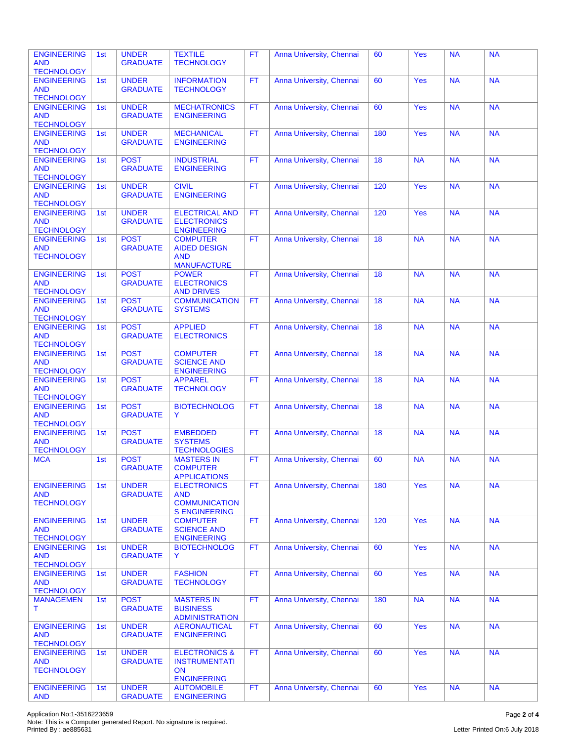|                                  | 1st | <b>UNDER</b>                    | <b>TEXTILE</b>                          | <b>FT</b> | Anna University, Chennai | 60  | Yes        | <b>NA</b> | <b>NA</b> |
|----------------------------------|-----|---------------------------------|-----------------------------------------|-----------|--------------------------|-----|------------|-----------|-----------|
| <b>ENGINEERING</b>               |     |                                 |                                         |           |                          |     |            |           |           |
| <b>AND</b>                       |     | <b>GRADUATE</b>                 | <b>TECHNOLOGY</b>                       |           |                          |     |            |           |           |
| <b>TECHNOLOGY</b>                |     |                                 |                                         |           |                          |     |            |           |           |
| <b>ENGINEERING</b>               | 1st | <b>UNDER</b>                    | <b>INFORMATION</b>                      | FT        | Anna University, Chennai | 60  | Yes        | <b>NA</b> | <b>NA</b> |
| <b>AND</b>                       |     | <b>GRADUATE</b>                 | <b>TECHNOLOGY</b>                       |           |                          |     |            |           |           |
| <b>TECHNOLOGY</b>                |     |                                 |                                         |           |                          |     |            |           |           |
| <b>ENGINEERING</b>               | 1st | <b>UNDER</b>                    | <b>MECHATRONICS</b>                     | <b>FT</b> | Anna University, Chennai | 60  | <b>Yes</b> | <b>NA</b> | <b>NA</b> |
|                                  |     | <b>GRADUATE</b>                 |                                         |           |                          |     |            |           |           |
| <b>AND</b>                       |     |                                 | <b>ENGINEERING</b>                      |           |                          |     |            |           |           |
| <b>TECHNOLOGY</b>                |     |                                 |                                         |           |                          |     |            |           |           |
| <b>ENGINEERING</b>               | 1st | <b>UNDER</b>                    | <b>MECHANICAL</b>                       | FT        | Anna University, Chennai | 180 | Yes        | <b>NA</b> | <b>NA</b> |
| <b>AND</b>                       |     | <b>GRADUATE</b>                 | <b>ENGINEERING</b>                      |           |                          |     |            |           |           |
| <b>TECHNOLOGY</b>                |     |                                 |                                         |           |                          |     |            |           |           |
|                                  |     |                                 | <b>INDUSTRIAL</b>                       |           |                          |     |            |           |           |
| <b>ENGINEERING</b>               | 1st | <b>POST</b>                     |                                         | FT        | Anna University, Chennai | 18  | <b>NA</b>  | <b>NA</b> | <b>NA</b> |
| <b>AND</b>                       |     | <b>GRADUATE</b>                 | <b>ENGINEERING</b>                      |           |                          |     |            |           |           |
| <b>TECHNOLOGY</b>                |     |                                 |                                         |           |                          |     |            |           |           |
| <b>ENGINEERING</b>               | 1st | <b>UNDER</b>                    | <b>CIVIL</b>                            | FT        | Anna University, Chennai | 120 | Yes        | <b>NA</b> | <b>NA</b> |
| <b>AND</b>                       |     | <b>GRADUATE</b>                 | <b>ENGINEERING</b>                      |           |                          |     |            |           |           |
|                                  |     |                                 |                                         |           |                          |     |            |           |           |
| <b>TECHNOLOGY</b>                |     |                                 |                                         |           |                          |     |            |           |           |
| <b>ENGINEERING</b>               | 1st | <b>UNDER</b>                    | <b>ELECTRICAL AND</b>                   | FT.       | Anna University, Chennai | 120 | <b>Yes</b> | <b>NA</b> | <b>NA</b> |
| <b>AND</b>                       |     | <b>GRADUATE</b>                 | <b>ELECTRONICS</b>                      |           |                          |     |            |           |           |
| <b>TECHNOLOGY</b>                |     |                                 | <b>ENGINEERING</b>                      |           |                          |     |            |           |           |
| <b>ENGINEERING</b>               | 1st | <b>POST</b>                     | <b>COMPUTER</b>                         | <b>FT</b> | Anna University, Chennai | 18  | <b>NA</b>  | <b>NA</b> | <b>NA</b> |
|                                  |     |                                 |                                         |           |                          |     |            |           |           |
| <b>AND</b>                       |     | <b>GRADUATE</b>                 | <b>AIDED DESIGN</b>                     |           |                          |     |            |           |           |
| <b>TECHNOLOGY</b>                |     |                                 | <b>AND</b>                              |           |                          |     |            |           |           |
|                                  |     |                                 | <b>MANUFACTURE</b>                      |           |                          |     |            |           |           |
| <b>ENGINEERING</b>               | 1st | <b>POST</b>                     | <b>POWER</b>                            | <b>FT</b> | Anna University, Chennai | 18  | <b>NA</b>  | <b>NA</b> | <b>NA</b> |
| <b>AND</b>                       |     | <b>GRADUATE</b>                 | <b>ELECTRONICS</b>                      |           |                          |     |            |           |           |
|                                  |     |                                 |                                         |           |                          |     |            |           |           |
| <b>TECHNOLOGY</b>                |     |                                 | <b>AND DRIVES</b>                       |           |                          |     |            |           |           |
| <b>ENGINEERING</b>               | 1st | <b>POST</b>                     | <b>COMMUNICATION</b>                    | <b>FT</b> | Anna University, Chennai | 18  | <b>NA</b>  | <b>NA</b> | <b>NA</b> |
| <b>AND</b>                       |     | <b>GRADUATE</b>                 | <b>SYSTEMS</b>                          |           |                          |     |            |           |           |
| <b>TECHNOLOGY</b>                |     |                                 |                                         |           |                          |     |            |           |           |
| <b>ENGINEERING</b>               | 1st | <b>POST</b>                     | <b>APPLIED</b>                          | <b>FT</b> | Anna University, Chennai | 18  | <b>NA</b>  | <b>NA</b> | <b>NA</b> |
|                                  |     |                                 |                                         |           |                          |     |            |           |           |
| <b>AND</b>                       |     | <b>GRADUATE</b>                 | <b>ELECTRONICS</b>                      |           |                          |     |            |           |           |
| <b>TECHNOLOGY</b>                |     |                                 |                                         |           |                          |     |            |           |           |
| <b>ENGINEERING</b>               | 1st | <b>POST</b>                     | <b>COMPUTER</b>                         | FT        | Anna University, Chennai | 18  | <b>NA</b>  | <b>NA</b> | <b>NA</b> |
| <b>AND</b>                       |     | <b>GRADUATE</b>                 | <b>SCIENCE AND</b>                      |           |                          |     |            |           |           |
| <b>TECHNOLOGY</b>                |     |                                 | <b>ENGINEERING</b>                      |           |                          |     |            |           |           |
|                                  | 1st | <b>POST</b>                     | <b>APPAREL</b>                          | FT        | Anna University, Chennai | 18  | <b>NA</b>  | <b>NA</b> | <b>NA</b> |
|                                  |     |                                 |                                         |           |                          |     |            |           |           |
| <b>ENGINEERING</b>               |     |                                 |                                         |           |                          |     |            |           |           |
| <b>AND</b>                       |     | <b>GRADUATE</b>                 | <b>TECHNOLOGY</b>                       |           |                          |     |            |           |           |
| <b>TECHNOLOGY</b>                |     |                                 |                                         |           |                          |     |            |           |           |
|                                  |     |                                 |                                         |           |                          |     |            |           |           |
| <b>ENGINEERING</b>               | 1st | <b>POST</b>                     | <b>BIOTECHNOLOG</b>                     | FT        | Anna University, Chennai | 18  | <b>NA</b>  | <b>NA</b> | <b>NA</b> |
| <b>AND</b>                       |     | <b>GRADUATE</b>                 | Y                                       |           |                          |     |            |           |           |
| <b>TECHNOLOGY</b>                |     |                                 |                                         |           |                          |     |            |           |           |
| <b>ENGINEERING</b>               | 1st | <b>POST</b>                     | <b>EMBEDDED</b>                         | <b>FT</b> | Anna University, Chennai | 18  | <b>NA</b>  | <b>NA</b> | <b>NA</b> |
| <b>AND</b>                       |     | <b>GRADUATE</b>                 | <b>SYSTEMS</b>                          |           |                          |     |            |           |           |
|                                  |     |                                 |                                         |           |                          |     |            |           |           |
| <b>TECHNOLOGY</b>                |     |                                 | <b>TECHNOLOGIES</b>                     |           |                          |     |            |           |           |
| <b>MCA</b>                       | 1st | <b>POST</b>                     | <b>MASTERS IN</b>                       | FT.       | Anna University, Chennai | 60  | <b>NA</b>  | <b>NA</b> | <b>NA</b> |
|                                  |     | <b>GRADUATE</b>                 | <b>COMPUTER</b>                         |           |                          |     |            |           |           |
|                                  |     |                                 | <b>APPLICATIONS</b>                     |           |                          |     |            |           |           |
| <b>ENGINEERING</b>               | 1st | <b>UNDER</b>                    | <b>ELECTRONICS</b>                      | FT        | Anna University, Chennai | 180 | Yes        | <b>NA</b> | <b>NA</b> |
| <b>AND</b>                       |     | <b>GRADUATE</b>                 | <b>AND</b>                              |           |                          |     |            |           |           |
|                                  |     |                                 |                                         |           |                          |     |            |           |           |
| <b>TECHNOLOGY</b>                |     |                                 | <b>COMMUNICATION</b>                    |           |                          |     |            |           |           |
|                                  |     |                                 | <b>S ENGINEERING</b>                    |           |                          |     |            |           |           |
| <b>ENGINEERING</b>               | 1st | <b>UNDER</b>                    | <b>COMPUTER</b>                         | FT.       | Anna University, Chennai | 120 | Yes        | <b>NA</b> | <b>NA</b> |
| <b>AND</b>                       |     | <b>GRADUATE</b>                 | <b>SCIENCE AND</b>                      |           |                          |     |            |           |           |
| <b>TECHNOLOGY</b>                |     |                                 |                                         |           |                          |     |            |           |           |
|                                  |     |                                 | <b>ENGINEERING</b>                      |           |                          |     |            |           |           |
| <b>ENGINEERING</b>               | 1st | <b>UNDER</b>                    | <b>BIOTECHNOLOG</b>                     | FT.       | Anna University, Chennai | 60  | Yes        | <b>NA</b> | <b>NA</b> |
| <b>AND</b>                       |     | <b>GRADUATE</b>                 | Y                                       |           |                          |     |            |           |           |
| <b>TECHNOLOGY</b>                |     |                                 |                                         |           |                          |     |            |           |           |
| <b>ENGINEERING</b>               | 1st | <b>UNDER</b>                    | <b>FASHION</b>                          | <b>FT</b> | Anna University, Chennai | 60  | Yes        | <b>NA</b> | <b>NA</b> |
| <b>AND</b>                       |     | <b>GRADUATE</b>                 |                                         |           |                          |     |            |           |           |
|                                  |     |                                 | <b>TECHNOLOGY</b>                       |           |                          |     |            |           |           |
| <b>TECHNOLOGY</b>                |     |                                 |                                         |           |                          |     |            |           |           |
| <b>MANAGEMEN</b>                 | 1st | <b>POST</b>                     | <b>MASTERS IN</b>                       | <b>FT</b> | Anna University, Chennai | 180 | <b>NA</b>  | <b>NA</b> | <b>NA</b> |
| Τ                                |     | <b>GRADUATE</b>                 | <b>BUSINESS</b>                         |           |                          |     |            |           |           |
|                                  |     |                                 | <b>ADMINISTRATION</b>                   |           |                          |     |            |           |           |
|                                  |     |                                 |                                         |           |                          |     |            |           |           |
| <b>ENGINEERING</b>               | 1st | <b>UNDER</b>                    | <b>AERONAUTICAL</b>                     | FT.       | Anna University, Chennai | 60  | Yes        | <b>NA</b> | <b>NA</b> |
| <b>AND</b>                       |     | <b>GRADUATE</b>                 | <b>ENGINEERING</b>                      |           |                          |     |            |           |           |
| <b>TECHNOLOGY</b>                |     |                                 |                                         |           |                          |     |            |           |           |
| <b>ENGINEERING</b>               | 1st | <b>UNDER</b>                    | <b>ELECTRONICS &amp;</b>                | <b>FT</b> | Anna University, Chennai | 60  | Yes        | <b>NA</b> | <b>NA</b> |
| <b>AND</b>                       |     | <b>GRADUATE</b>                 | <b>INSTRUMENTATI</b>                    |           |                          |     |            |           |           |
|                                  |     |                                 | <b>ON</b>                               |           |                          |     |            |           |           |
| <b>TECHNOLOGY</b>                |     |                                 |                                         |           |                          |     |            |           |           |
|                                  |     |                                 | <b>ENGINEERING</b>                      |           |                          |     |            |           |           |
| <b>ENGINEERING</b><br><b>AND</b> | 1st | <b>UNDER</b><br><b>GRADUATE</b> | <b>AUTOMOBILE</b><br><b>ENGINEERING</b> | <b>FT</b> | Anna University, Chennai | 60  | Yes        | <b>NA</b> | <b>NA</b> |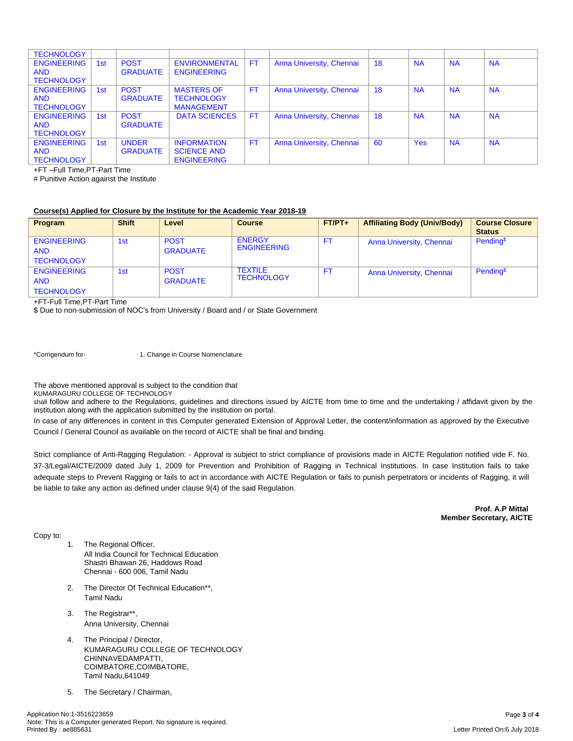| <b>TECHNOLOGY</b>  |                 |                 |                      |           |                          |    |            |           |           |
|--------------------|-----------------|-----------------|----------------------|-----------|--------------------------|----|------------|-----------|-----------|
| <b>ENGINEERING</b> | 1st             | <b>POST</b>     | <b>ENVIRONMENTAL</b> | <b>FT</b> | Anna University, Chennai | 18 | <b>NA</b>  | <b>NA</b> | <b>NA</b> |
| <b>AND</b>         |                 | <b>GRADUATE</b> | <b>ENGINEERING</b>   |           |                          |    |            |           |           |
| <b>TECHNOLOGY</b>  |                 |                 |                      |           |                          |    |            |           |           |
| <b>ENGINEERING</b> | 1st             | <b>POST</b>     | <b>MASTERS OF</b>    | <b>FT</b> | Anna University, Chennai | 18 | <b>NA</b>  | <b>NA</b> | <b>NA</b> |
| <b>AND</b>         |                 | <b>GRADUATE</b> | <b>TECHNOLOGY</b>    |           |                          |    |            |           |           |
| <b>TECHNOLOGY</b>  |                 |                 | <b>MANAGEMENT</b>    |           |                          |    |            |           |           |
| <b>ENGINEERING</b> | 1st             | <b>POST</b>     | <b>DATA SCIENCES</b> | <b>FT</b> | Anna University, Chennai | 18 | <b>NA</b>  | <b>NA</b> | <b>NA</b> |
| <b>AND</b>         |                 | <b>GRADUATE</b> |                      |           |                          |    |            |           |           |
| <b>TECHNOLOGY</b>  |                 |                 |                      |           |                          |    |            |           |           |
| <b>ENGINEERING</b> | 1 <sub>st</sub> | <b>UNDER</b>    | <b>INFORMATION</b>   | <b>FT</b> | Anna University, Chennai | 60 | <b>Yes</b> | <b>NA</b> | <b>NA</b> |
| <b>AND</b>         |                 | <b>GRADUATE</b> | <b>SCIENCE AND</b>   |           |                          |    |            |           |           |
| <b>TECHNOLOGY</b>  |                 |                 | <b>ENGINEERING</b>   |           |                          |    |            |           |           |

+FT –Full Time,PT-Part Time

# Punitive Action against the Institute

## **Course(s) Applied for Closure by the Institute for the Academic Year 2018-19**

| <b>Program</b>     | <b>Shift</b> | Level           | <b>Course</b>      | $FT/PT+$ | <b>Affiliating Body (Univ/Body)</b> | <b>Course Closure</b> |
|--------------------|--------------|-----------------|--------------------|----------|-------------------------------------|-----------------------|
|                    |              |                 |                    |          |                                     | <b>Status</b>         |
| <b>ENGINEERING</b> | 1st          | <b>POST</b>     | <b>ENERGY</b>      | FT.      | Anna University, Chennai            | Pending <sup>\$</sup> |
| <b>AND</b>         |              | <b>GRADUATE</b> | <b>ENGINEERING</b> |          |                                     |                       |
| <b>TECHNOLOGY</b>  |              |                 |                    |          |                                     |                       |
| <b>ENGINEERING</b> | 1st          | <b>POST</b>     | <b>TEXTILE</b>     | FT.      | Anna University, Chennai            | Pending <sup>\$</sup> |
| <b>AND</b>         |              | <b>GRADUATE</b> | <b>TECHNOLOGY</b>  |          |                                     |                       |
| <b>TECHNOLOGY</b>  |              |                 |                    |          |                                     |                       |

+FT-Full Time,PT-Part Time

\$ Due to non-submission of NOC's from University / Board and / or State Government

\*Corrigendum for- 1. Change in Course Nomenclature

The above mentioned approval is subject to the condition that

KUMARAGURU COLLEGE OF TECHNOLOGY

shall follow and adhere to the Regulations, guidelines and directions issued by AICTE from time to time and the undertaking / affidavit given by the institution along with the application submitted by the institution on portal.

In case of any differences in content in this Computer generated Extension of Approval Letter, the content/information as approved by the Executive Council / General Council as available on the record of AICTE shall be final and binding.

Strict compliance of Anti-Ragging Regulation: - Approval is subject to strict compliance of provisions made in AICTE Regulation notified vide F. No. 37-3/Legal/AICTE/2009 dated July 1, 2009 for Prevention and Prohibition of Ragging in Technical Institutions. In case Institution fails to take adequate steps to Prevent Ragging or fails to act in accordance with AICTE Regulation or fails to punish perpetrators or incidents of Ragging, it will be liable to take any action as defined under clause 9(4) of the said Regulation.

> **Prof. A.P Mittal Member Secretary, AICTE**

Copy to:

- 1. The Regional Officer, All India Council for Technical Education Shastri Bhawan 26, Haddows Road Chennai - 600 006, Tamil Nadu
- 2. The Director Of Technical Education\*\*, Tamil Nadu
- 3. The Registrar\*\*, Anna University, Chennai
- 4. The Principal / Director, KUMARAGURU COLLEGE OF TECHNOLOGY CHINNAVEDAMPATTI, COIMBATORE,COIMBATORE, Tamil Nadu,641049
- 5. The Secretary / Chairman,